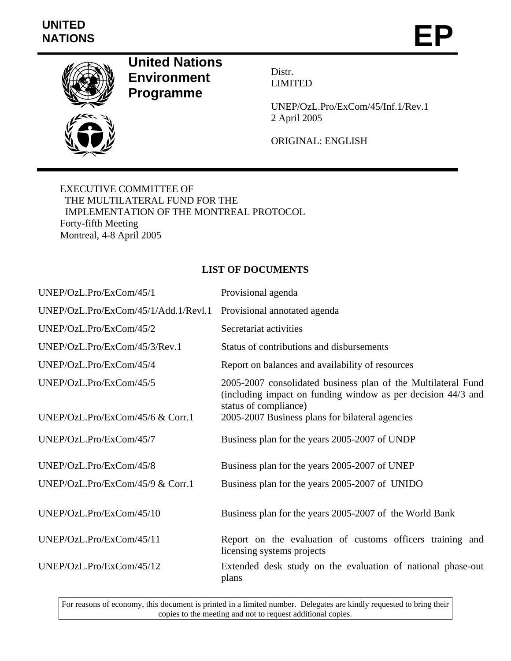## **UNITED**  NATIONS **EP**



**United Nations Environment Programme** 

Distr. LIMITED

UNEP/OzL.Pro/ExCom/45/Inf.1/Rev.1 2 April 2005

ORIGINAL: ENGLISH

EXECUTIVE COMMITTEE OF THE MULTILATERAL FUND FOR THE IMPLEMENTATION OF THE MONTREAL PROTOCOL Forty-fifth Meeting Montreal, 4-8 April 2005

## **LIST OF DOCUMENTS**

| UNEP/OzL.Pro/ExCom/45/1              | Provisional agenda                                                                                                                                     |
|--------------------------------------|--------------------------------------------------------------------------------------------------------------------------------------------------------|
| UNEP/OzL.Pro/ExCom/45/1/Add.1/Revl.1 | Provisional annotated agenda                                                                                                                           |
| UNEP/OzL.Pro/ExCom/45/2              | Secretariat activities                                                                                                                                 |
| UNEP/OzL.Pro/ExCom/45/3/Rev.1        | Status of contributions and disbursements                                                                                                              |
| UNEP/OzL.Pro/ExCom/45/4              | Report on balances and availability of resources                                                                                                       |
| UNEP/OzL.Pro/ExCom/45/5              | 2005-2007 consolidated business plan of the Multilateral Fund<br>(including impact on funding window as per decision 44/3 and<br>status of compliance) |
| UNEP/OzL.Pro/ExCom/45/6 & Corr.1     | 2005-2007 Business plans for bilateral agencies                                                                                                        |
| UNEP/OzL.Pro/ExCom/45/7              | Business plan for the years 2005-2007 of UNDP                                                                                                          |
| UNEP/OzL.Pro/ExCom/45/8              | Business plan for the years 2005-2007 of UNEP                                                                                                          |
| UNEP/OzL.Pro/ExCom/45/9 $&$ Corr.1   | Business plan for the years 2005-2007 of UNIDO                                                                                                         |
| UNEP/OzL.Pro/ExCom/45/10             | Business plan for the years 2005-2007 of the World Bank                                                                                                |
| UNEP/OzL.Pro/ExCom/45/11             | Report on the evaluation of customs officers training and<br>licensing systems projects                                                                |
| UNEP/OzL.Pro/ExCom/45/12             | Extended desk study on the evaluation of national phase-out<br>plans                                                                                   |

For reasons of economy, this document is printed in a limited number. Delegates are kindly requested to bring their copies to the meeting and not to request additional copies.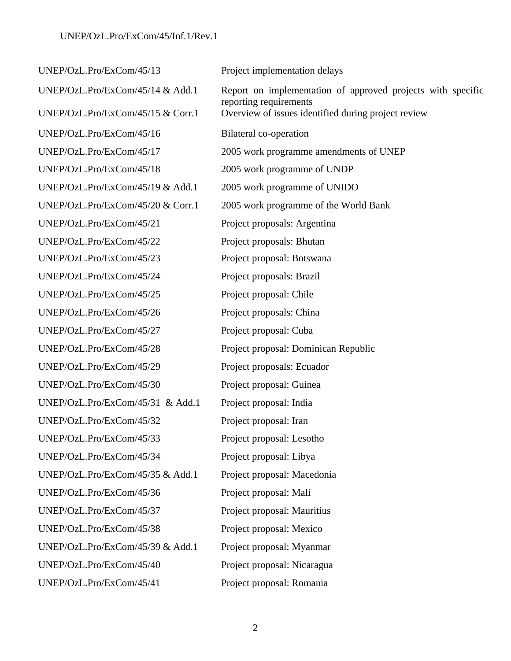UNEP/OzL.Pro/ExCom/45/13 Project implementation delays UNEP/OzL.Pro/ExCom/45/14 & Add.1 Report on implementation of approved projects with specific reporting requirements UNEP/OzL.Pro/ExCom/45/15 & Corr.1 Overview of issues identified during project review UNEP/OzL.Pro/ExCom/45/16 Bilateral co-operation UNEP/OzL.Pro/ExCom/45/17 2005 work programme amendments of UNEP UNEP/OzL.Pro/ExCom/45/18 2005 work programme of UNDP UNEP/OzL.Pro/ExCom/45/19 & Add.1 2005 work programme of UNIDO UNEP/OzL.Pro/ExCom/45/20 & Corr.1 2005 work programme of the World Bank UNEP/OzL.Pro/ExCom/45/21 Project proposals: Argentina UNEP/OzL.Pro/ExCom/45/22 Project proposals: Bhutan UNEP/OzL.Pro/ExCom/45/23 Project proposal: Botswana UNEP/OzL.Pro/ExCom/45/24 Project proposals: Brazil UNEP/OzL.Pro/ExCom/45/25 Project proposal: Chile UNEP/OzL.Pro/ExCom/45/26 Project proposals: China UNEP/OzL.Pro/ExCom/45/27 Project proposal: Cuba UNEP/OzL.Pro/ExCom/45/28 Project proposal: Dominican Republic UNEP/OzL.Pro/ExCom/45/29 Project proposals: Ecuador UNEP/OzL.Pro/ExCom/45/30 Project proposal: Guinea UNEP/OzL.Pro/ExCom/45/31 & Add.1 Project proposal: India UNEP/OzL.Pro/ExCom/45/32 Project proposal: Iran UNEP/OzL.Pro/ExCom/45/33 Project proposal: Lesotho UNEP/OzL.Pro/ExCom/45/34 Project proposal: Libya UNEP/OzL.Pro/ExCom/45/35 & Add.1 Project proposal: Macedonia UNEP/OzL.Pro/ExCom/45/36 Project proposal: Mali UNEP/OzL.Pro/ExCom/45/37 Project proposal: Mauritius UNEP/OzL.Pro/ExCom/45/38 Project proposal: Mexico UNEP/OzL.Pro/ExCom/45/39 & Add.1 Project proposal: Myanmar UNEP/OzL.Pro/ExCom/45/40 Project proposal: Nicaragua UNEP/OzL.Pro/ExCom/45/41 Project proposal: Romania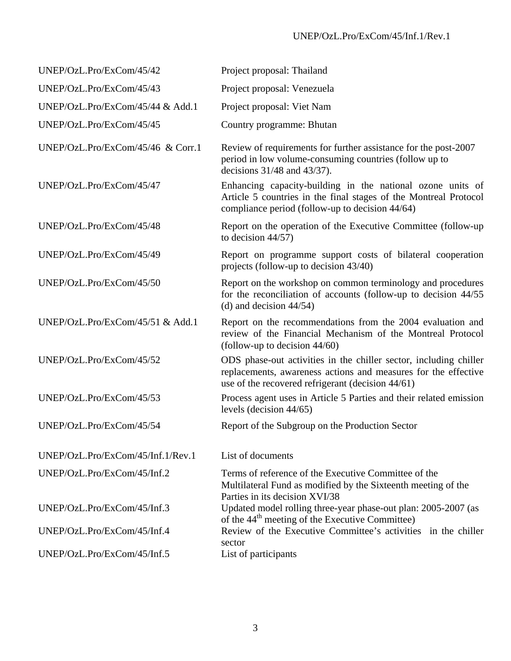| UNEP/OzL.Pro/ExCom/45/42          | Project proposal: Thailand                                                                                                                                                               |
|-----------------------------------|------------------------------------------------------------------------------------------------------------------------------------------------------------------------------------------|
| UNEP/OzL.Pro/ExCom/45/43          | Project proposal: Venezuela                                                                                                                                                              |
| UNEP/OzL.Pro/ExCom/45/44 & Add.1  | Project proposal: Viet Nam                                                                                                                                                               |
| UNEP/OzL.Pro/ExCom/45/45          | Country programme: Bhutan                                                                                                                                                                |
| UNEP/OzL.Pro/ExCom/45/46 & Corr.1 | Review of requirements for further assistance for the post-2007<br>period in low volume-consuming countries (follow up to<br>decisions $31/48$ and $43/37$ ).                            |
| UNEP/OzL.Pro/ExCom/45/47          | Enhancing capacity-building in the national ozone units of<br>Article 5 countries in the final stages of the Montreal Protocol<br>compliance period (follow-up to decision 44/64)        |
| UNEP/OzL.Pro/ExCom/45/48          | Report on the operation of the Executive Committee (follow-up<br>to decision $44/57$ )                                                                                                   |
| UNEP/OzL.Pro/ExCom/45/49          | Report on programme support costs of bilateral cooperation<br>projects (follow-up to decision 43/40)                                                                                     |
| UNEP/OzL.Pro/ExCom/45/50          | Report on the workshop on common terminology and procedures<br>for the reconciliation of accounts (follow-up to decision 44/55<br>(d) and decision $44/54$ )                             |
| UNEP/OzL.Pro/ExCom/45/51 & Add.1  | Report on the recommendations from the 2004 evaluation and<br>review of the Financial Mechanism of the Montreal Protocol<br>(follow-up to decision $44/60$ )                             |
| UNEP/OzL.Pro/ExCom/45/52          | ODS phase-out activities in the chiller sector, including chiller<br>replacements, awareness actions and measures for the effective<br>use of the recovered refrigerant (decision 44/61) |
| UNEP/OzL.Pro/ExCom/45/53          | Process agent uses in Article 5 Parties and their related emission<br>levels (decision $44/65$ )                                                                                         |
| UNEP/OzL.Pro/ExCom/45/54          | Report of the Subgroup on the Production Sector                                                                                                                                          |
| UNEP/OzL.Pro/ExCom/45/Inf.1/Rev.1 | List of documents                                                                                                                                                                        |
| UNEP/OzL.Pro/ExCom/45/Inf.2       | Terms of reference of the Executive Committee of the<br>Multilateral Fund as modified by the Sixteenth meeting of the<br>Parties in its decision XVI/38                                  |
| UNEP/OzL.Pro/ExCom/45/Inf.3       | Updated model rolling three-year phase-out plan: 2005-2007 (as<br>of the 44 <sup>th</sup> meeting of the Executive Committee)                                                            |
| UNEP/OzL.Pro/ExCom/45/Inf.4       | Review of the Executive Committee's activities in the chiller<br>sector                                                                                                                  |
| UNEP/OzL.Pro/ExCom/45/Inf.5       | List of participants                                                                                                                                                                     |